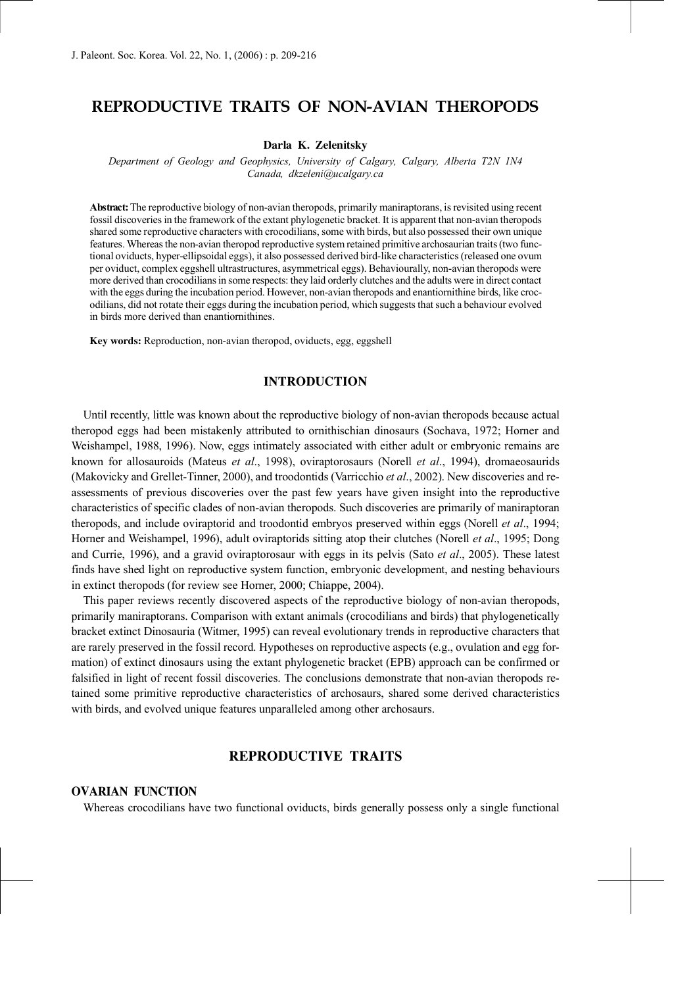# **REPRODUCTIVE TRAITS OF NON-AVIAN THEROPODS**

#### **Darla K. Zelenitsky**

*Department of Geology and Geophysics, University of Calgary, Calgary, Alberta T2N 1N4 Canada, dkzeleni@ucalgary.ca*

**Abstract:** The reproductive biology of non-avian theropods, primarily maniraptorans, is revisited using recent fossil discoveries in the framework of the extant phylogenetic bracket. It is apparent that non-avian theropods shared some reproductive characters with crocodilians, some with birds, but also possessed their own unique features. Whereas the non-avian theropod reproductive system retained primitive archosaurian traits (two functional oviducts, hyper-ellipsoidal eggs), it also possessed derived bird-like characteristics (released one ovum per oviduct, complex eggshell ultrastructures, asymmetrical eggs). Behaviourally, non-avian theropods were more derived than crocodilians in some respects: they laid orderly clutches and the adults were in direct contact with the eggs during the incubation period. However, non-avian theropods and enantiornithine birds, like crocodilians, did not rotate their eggs during the incubation period, which suggests that such a behaviour evolved in birds more derived than enantiornithines.

**Key words:** Reproduction, non-avian theropod, oviducts, egg, eggshell

## **INTRODUCTION**

Until recently, little was known about the reproductive biology of non-avian theropods because actual theropod eggs had been mistakenly attributed to ornithischian dinosaurs (Sochava, 1972; Horner and Weishampel, 1988, 1996). Now, eggs intimately associated with either adult or embryonic remains are known for allosauroids (Mateus *et al*., 1998), oviraptorosaurs (Norell *et al*., 1994), dromaeosaurids (Makovicky and Grellet-Tinner, 2000), and troodontids (Varricchio *et al*., 2002). New discoveries and reassessments of previous discoveries over the past few years have given insight into the reproductive characteristics of specific clades of non-avian theropods. Such discoveries are primarily of maniraptoran theropods, and include oviraptorid and troodontid embryos preserved within eggs (Norell *et al*., 1994; Horner and Weishampel, 1996), adult oviraptorids sitting atop their clutches (Norell *et al*., 1995; Dong and Currie, 1996), and a gravid oviraptorosaur with eggs in its pelvis (Sato *et al*., 2005). These latest finds have shed light on reproductive system function, embryonic development, and nesting behaviours in extinct theropods (for review see Horner, 2000; Chiappe, 2004).

This paper reviews recently discovered aspects of the reproductive biology of non-avian theropods, primarily maniraptorans. Comparison with extant animals (crocodilians and birds) that phylogenetically bracket extinct Dinosauria (Witmer, 1995) can reveal evolutionary trends in reproductive characters that are rarely preserved in the fossil record. Hypotheses on reproductive aspects (e.g., ovulation and egg formation) of extinct dinosaurs using the extant phylogenetic bracket (EPB) approach can be confirmed or falsified in light of recent fossil discoveries. The conclusions demonstrate that non-avian theropods retained some primitive reproductive characteristics of archosaurs, shared some derived characteristics with birds, and evolved unique features unparalleled among other archosaurs.

# **REPRODUCTIVE TRAITS**

#### **OVARIAN FUNCTION**

Whereas crocodilians have two functional oviducts, birds generally possess only a single functional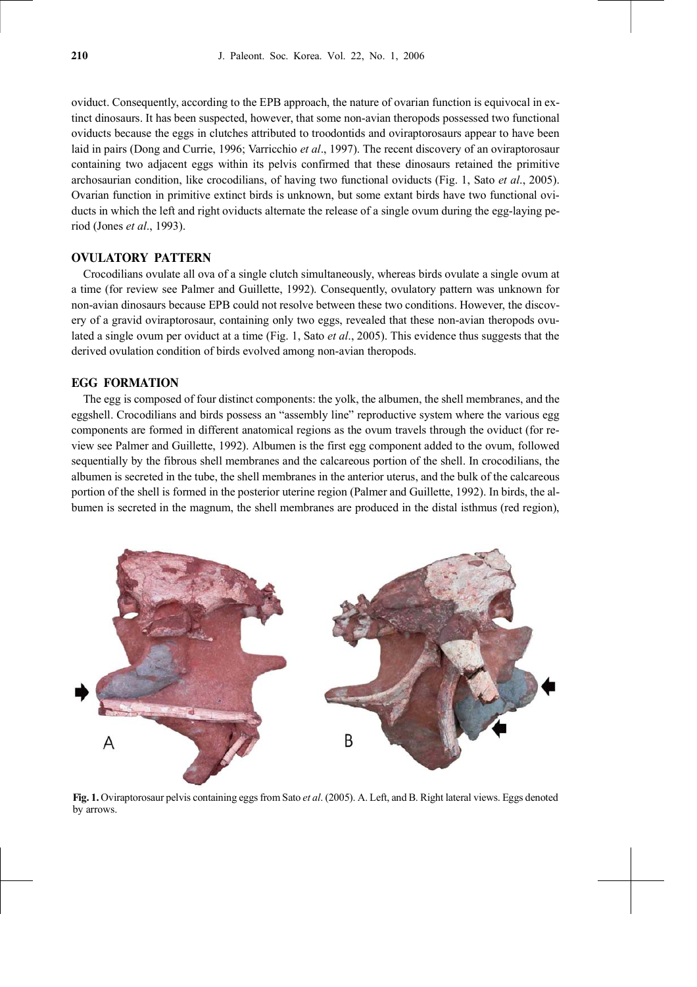oviduct. Consequently, according to the EPB approach, the nature of ovarian function is equivocal in extinct dinosaurs. It has been suspected, however, that some non-avian theropods possessed two functional oviducts because the eggs in clutches attributed to troodontids and oviraptorosaurs appear to have been laid in pairs (Dong and Currie, 1996; Varricchio *et al*., 1997). The recent discovery of an oviraptorosaur containing two adjacent eggs within its pelvis confirmed that these dinosaurs retained the primitive archosaurian condition, like crocodilians, of having two functional oviducts (Fig. 1, Sato *et al*., 2005). Ovarian function in primitive extinct birds is unknown, but some extant birds have two functional oviducts in which the left and right oviducts alternate the release of a single ovum during the egg-laying period (Jones *et al*., 1993).

# **OVULATORY PATTERN**

Crocodilians ovulate all ova of a single clutch simultaneously, whereas birds ovulate a single ovum at a time (for review see Palmer and Guillette, 1992). Consequently, ovulatory pattern was unknown for non-avian dinosaurs because EPB could not resolve between these two conditions. However, the discovery of a gravid oviraptorosaur, containing only two eggs, revealed that these non-avian theropods ovulated a single ovum per oviduct at a time (Fig. 1, Sato *et al*., 2005). This evidence thus suggests that the derived ovulation condition of birds evolved among non-avian theropods.

## **EGG FORMATION**

The egg is composed of four distinct components: the yolk, the albumen, the shell membranes, and the eggshell. Crocodilians and birds possess an "assembly line" reproductive system where the various egg components are formed in different anatomical regions as the ovum travels through the oviduct (for review see Palmer and Guillette, 1992). Albumen is the first egg component added to the ovum, followed sequentially by the fibrous shell membranes and the calcareous portion of the shell. In crocodilians, the albumen is secreted in the tube, the shell membranes in the anterior uterus, and the bulk of the calcareous portion of the shell is formed in the posterior uterine region (Palmer and Guillette, 1992). In birds, the albumen is secreted in the magnum, the shell membranes are produced in the distal isthmus (red region),



**Fig. 1.** Oviraptorosaur pelvis containing eggs from Sato *et al*. (2005). A. Left, and B. Right lateral views. Eggs denoted by arrows.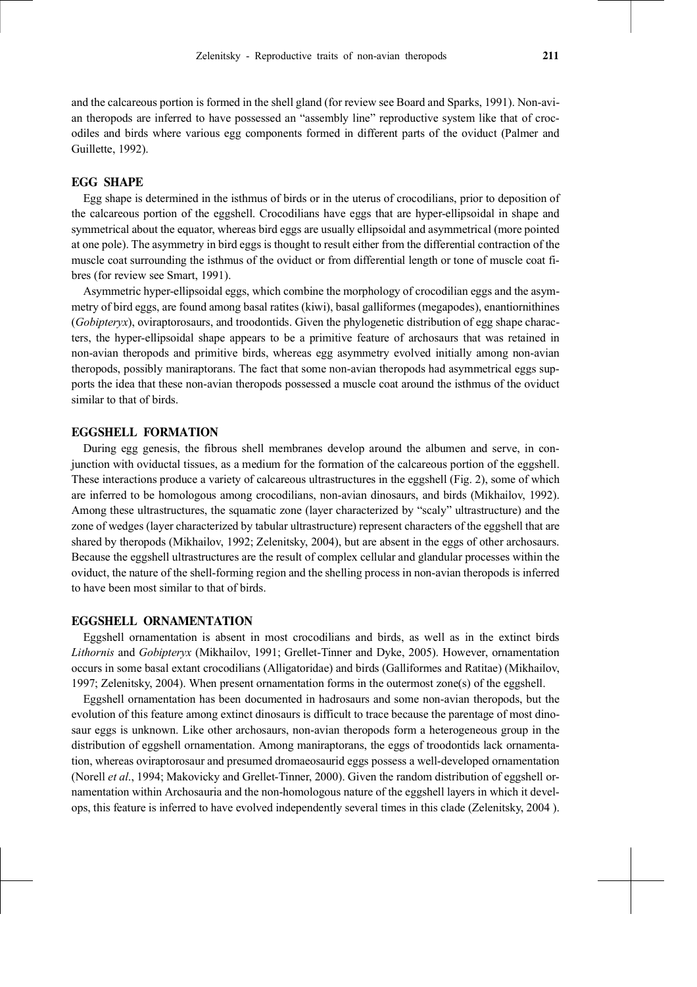and the calcareous portion is formed in the shell gland (for review see Board and Sparks, 1991). Non-avian theropods are inferred to have possessed an "assembly line" reproductive system like that of crocodiles and birds where various egg components formed in different parts of the oviduct (Palmer and Guillette, 1992).

### **EGG SHAPE**

Egg shape is determined in the isthmus of birds or in the uterus of crocodilians, prior to deposition of the calcareous portion of the eggshell. Crocodilians have eggs that are hyper-ellipsoidal in shape and symmetrical about the equator, whereas bird eggs are usually ellipsoidal and asymmetrical (more pointed at one pole). The asymmetry in bird eggs is thought to result either from the differential contraction of the muscle coat surrounding the isthmus of the oviduct or from differential length or tone of muscle coat fibres (for review see Smart, 1991).

Asymmetric hyper-ellipsoidal eggs, which combine the morphology of crocodilian eggs and the asymmetry of bird eggs, are found among basal ratites (kiwi), basal galliformes (megapodes), enantiornithines (*Gobipteryx*), oviraptorosaurs, and troodontids. Given the phylogenetic distribution of egg shape characters, the hyper-ellipsoidal shape appears to be a primitive feature of archosaurs that was retained in non-avian theropods and primitive birds, whereas egg asymmetry evolved initially among non-avian theropods, possibly maniraptorans. The fact that some non-avian theropods had asymmetrical eggs supports the idea that these non-avian theropods possessed a muscle coat around the isthmus of the oviduct similar to that of birds.

## **EGGSHELL FORMATION**

During egg genesis, the fibrous shell membranes develop around the albumen and serve, in conjunction with oviductal tissues, as a medium for the formation of the calcareous portion of the eggshell. These interactions produce a variety of calcareous ultrastructures in the eggshell (Fig. 2), some of which are inferred to be homologous among crocodilians, non-avian dinosaurs, and birds (Mikhailov, 1992). Among these ultrastructures, the squamatic zone (layer characterized by "scaly" ultrastructure) and the zone of wedges (layer characterized by tabular ultrastructure) represent characters of the eggshell that are shared by theropods (Mikhailov, 1992; Zelenitsky, 2004), but are absent in the eggs of other archosaurs. Because the eggshell ultrastructures are the result of complex cellular and glandular processes within the oviduct, the nature of the shell-forming region and the shelling process in non-avian theropods is inferred to have been most similar to that of birds.

#### **EGGSHELL ORNAMENTATION**

Eggshell ornamentation is absent in most crocodilians and birds, as well as in the extinct birds *Lithornis* and *Gobipteryx* (Mikhailov, 1991; Grellet-Tinner and Dyke, 2005). However, ornamentation occurs in some basal extant crocodilians (Alligatoridae) and birds (Galliformes and Ratitae) (Mikhailov, 1997; Zelenitsky, 2004). When present ornamentation forms in the outermost zone(s) of the eggshell.

Eggshell ornamentation has been documented in hadrosaurs and some non-avian theropods, but the evolution of this feature among extinct dinosaurs is difficult to trace because the parentage of most dinosaur eggs is unknown. Like other archosaurs, non-avian theropods form a heterogeneous group in the distribution of eggshell ornamentation. Among maniraptorans, the eggs of troodontids lack ornamentation, whereas oviraptorosaur and presumed dromaeosaurid eggs possess a well-developed ornamentation (Norell *et al*., 1994; Makovicky and Grellet-Tinner, 2000). Given the random distribution of eggshell ornamentation within Archosauria and the non-homologous nature of the eggshell layers in which it develops, this feature is inferred to have evolved independently several times in this clade (Zelenitsky, 2004 ).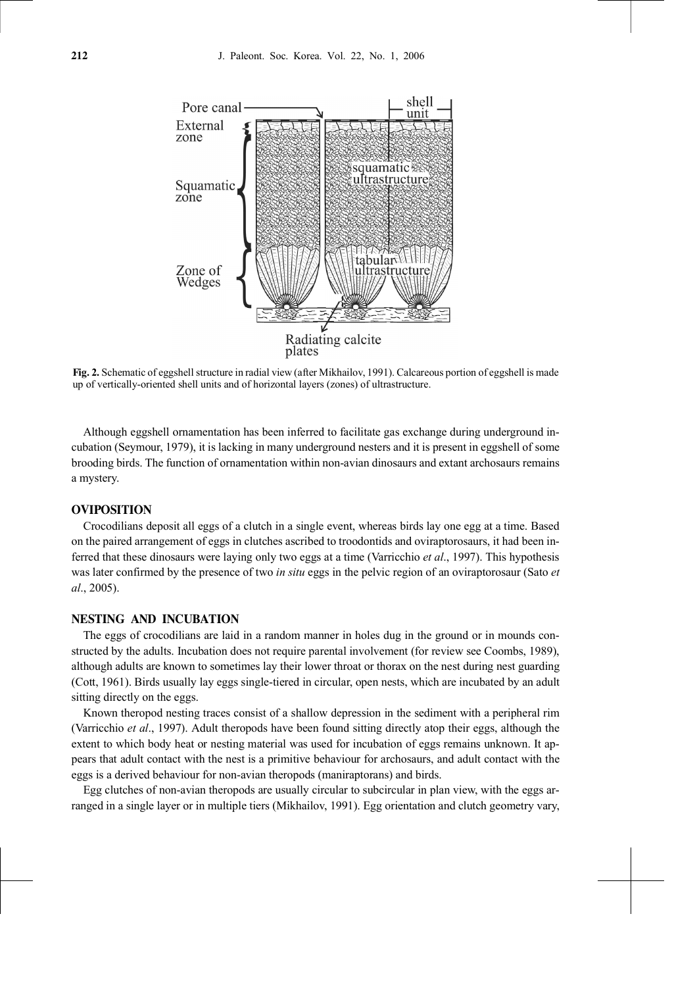

**Fig. 2.** Schematic of eggshell structure in radial view (after Mikhailov, 1991). Calcareous portion of eggshell is made up of vertically-oriented shell units and of horizontal layers (zones) of ultrastructure.

Although eggshell ornamentation has been inferred to facilitate gas exchange during underground incubation (Seymour, 1979), it is lacking in many underground nesters and it is present in eggshell of some brooding birds. The function of ornamentation within non-avian dinosaurs and extant archosaurs remains a mystery.

#### **OVIPOSITION**

Crocodilians deposit all eggs of a clutch in a single event, whereas birds lay one egg at a time. Based on the paired arrangement of eggs in clutches ascribed to troodontids and oviraptorosaurs, it had been inferred that these dinosaurs were laying only two eggs at a time (Varricchio *et al*., 1997). This hypothesis was later confirmed by the presence of two *in situ* eggs in the pelvic region of an oviraptorosaur (Sato *et al*., 2005).

#### **NESTING AND INCUBATION**

The eggs of crocodilians are laid in a random manner in holes dug in the ground or in mounds constructed by the adults. Incubation does not require parental involvement (for review see Coombs, 1989), although adults are known to sometimes lay their lower throat or thorax on the nest during nest guarding (Cott, 1961). Birds usually lay eggs single-tiered in circular, open nests, which are incubated by an adult sitting directly on the eggs.

Known theropod nesting traces consist of a shallow depression in the sediment with a peripheral rim (Varricchio *et al*., 1997). Adult theropods have been found sitting directly atop their eggs, although the extent to which body heat or nesting material was used for incubation of eggs remains unknown. It appears that adult contact with the nest is a primitive behaviour for archosaurs, and adult contact with the eggs is a derived behaviour for non-avian theropods (maniraptorans) and birds.

Egg clutches of non-avian theropods are usually circular to subcircular in plan view, with the eggs arranged in a single layer or in multiple tiers (Mikhailov, 1991). Egg orientation and clutch geometry vary,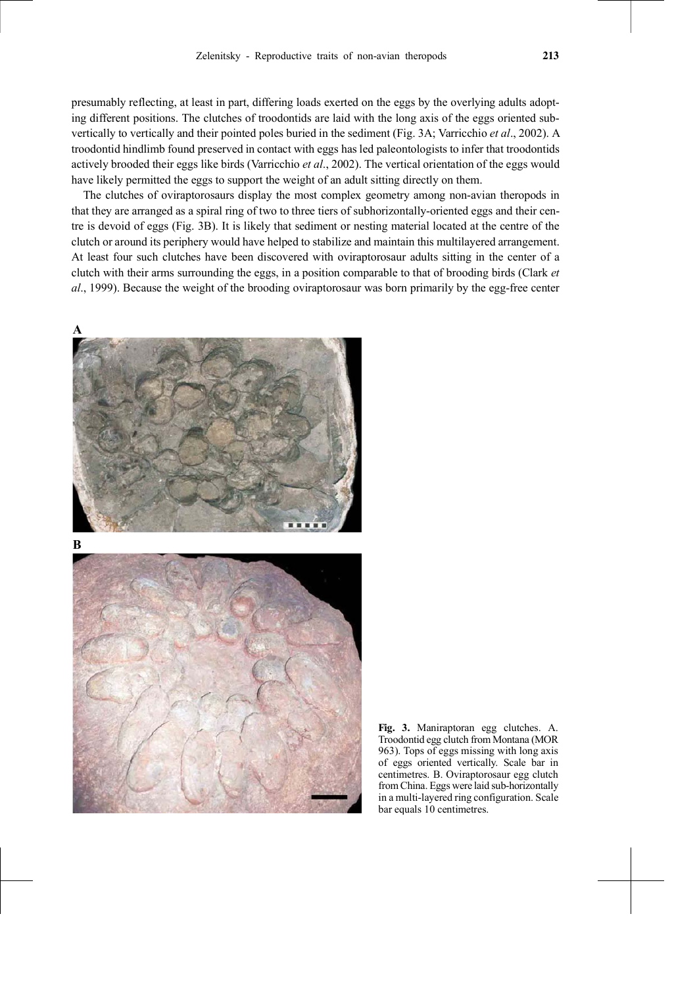presumably reflecting, at least in part, differing loads exerted on the eggs by the overlying adults adopting different positions. The clutches of troodontids are laid with the long axis of the eggs oriented subvertically to vertically and their pointed poles buried in the sediment (Fig. 3A; Varricchio *et al*., 2002). A troodontid hindlimb found preserved in contact with eggs has led paleontologists to infer that troodontids actively brooded their eggs like birds (Varricchio *et al*., 2002). The vertical orientation of the eggs would have likely permitted the eggs to support the weight of an adult sitting directly on them.

The clutches of oviraptorosaurs display the most complex geometry among non-avian theropods in that they are arranged as a spiral ring of two to three tiers of subhorizontally-oriented eggs and their centre is devoid of eggs (Fig. 3B). It is likely that sediment or nesting material located at the centre of the clutch or around its periphery would have helped to stabilize and maintain this multilayered arrangement. At least four such clutches have been discovered with oviraptorosaur adults sitting in the center of a clutch with their arms surrounding the eggs, in a position comparable to that of brooding birds (Clark *et al*., 1999). Because the weight of the brooding oviraptorosaur was born primarily by the egg-free center







**Fig. 3.** Maniraptoran egg clutches. A. Troodontid egg clutch from Montana (MOR 963). Tops of eggs missing with long axis of eggs oriented vertically. Scale bar in centimetres. B. Oviraptorosaur egg clutch from China. Eggs were laid sub-horizontally in a multi-layered ring configuration. Scale bar equals 10 centimetres.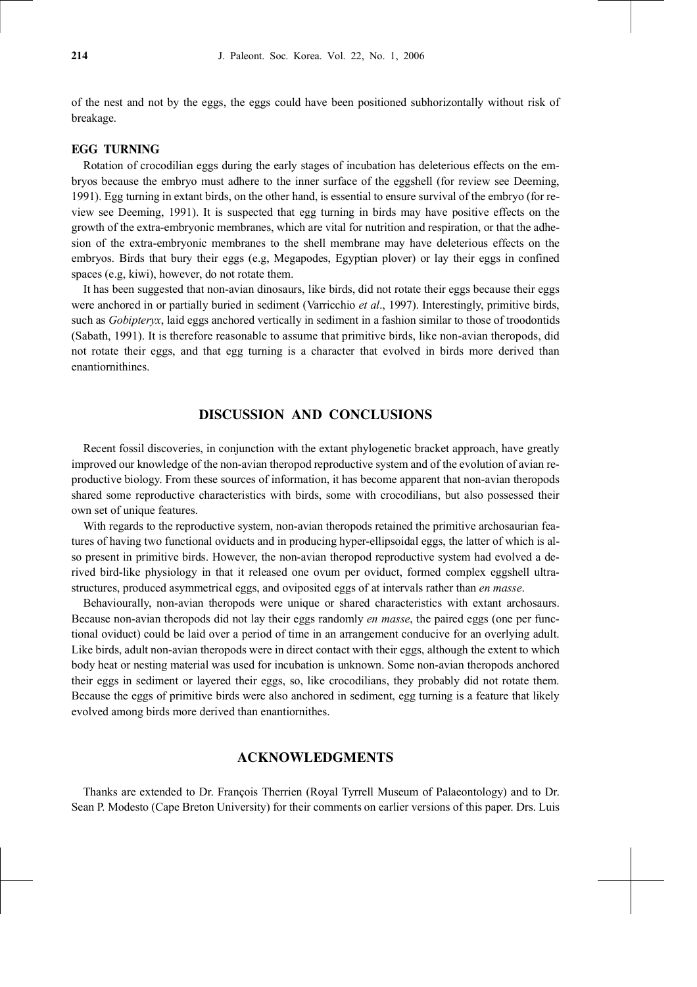of the nest and not by the eggs, the eggs could have been positioned subhorizontally without risk of breakage.

#### **EGG TURNING**

Rotation of crocodilian eggs during the early stages of incubation has deleterious effects on the embryos because the embryo must adhere to the inner surface of the eggshell (for review see Deeming, 1991). Egg turning in extant birds, on the other hand, is essential to ensure survival of the embryo (for review see Deeming, 1991). It is suspected that egg turning in birds may have positive effects on the growth of the extra-embryonic membranes, which are vital for nutrition and respiration, or that the adhesion of the extra-embryonic membranes to the shell membrane may have deleterious effects on the embryos. Birds that bury their eggs (e.g, Megapodes, Egyptian plover) or lay their eggs in confined spaces (e.g, kiwi), however, do not rotate them.

It has been suggested that non-avian dinosaurs, like birds, did not rotate their eggs because their eggs were anchored in or partially buried in sediment (Varricchio *et al*., 1997). Interestingly, primitive birds, such as *Gobipteryx*, laid eggs anchored vertically in sediment in a fashion similar to those of troodontids (Sabath, 1991). It is therefore reasonable to assume that primitive birds, like non-avian theropods, did not rotate their eggs, and that egg turning is a character that evolved in birds more derived than enantiornithines.

# **DISCUSSION AND CONCLUSIONS**

Recent fossil discoveries, in conjunction with the extant phylogenetic bracket approach, have greatly improved our knowledge of the non-avian theropod reproductive system and of the evolution of avian reproductive biology. From these sources of information, it has become apparent that non-avian theropods shared some reproductive characteristics with birds, some with crocodilians, but also possessed their own set of unique features.

With regards to the reproductive system, non-avian theropods retained the primitive archosaurian features of having two functional oviducts and in producing hyper-ellipsoidal eggs, the latter of which is also present in primitive birds. However, the non-avian theropod reproductive system had evolved a derived bird-like physiology in that it released one ovum per oviduct, formed complex eggshell ultrastructures, produced asymmetrical eggs, and oviposited eggs of at intervals rather than *en masse*.

Behaviourally, non-avian theropods were unique or shared characteristics with extant archosaurs. Because non-avian theropods did not lay their eggs randomly *en masse*, the paired eggs (one per functional oviduct) could be laid over a period of time in an arrangement conducive for an overlying adult. Like birds, adult non-avian theropods were in direct contact with their eggs, although the extent to which body heat or nesting material was used for incubation is unknown. Some non-avian theropods anchored their eggs in sediment or layered their eggs, so, like crocodilians, they probably did not rotate them. Because the eggs of primitive birds were also anchored in sediment, egg turning is a feature that likely evolved among birds more derived than enantiornithes.

# **ACKNOWLEDGMENTS**

Thanks are extended to Dr. François Therrien (Royal Tyrrell Museum of Palaeontology) and to Dr. Sean P. Modesto (Cape Breton University) for their comments on earlier versions of this paper. Drs. Luis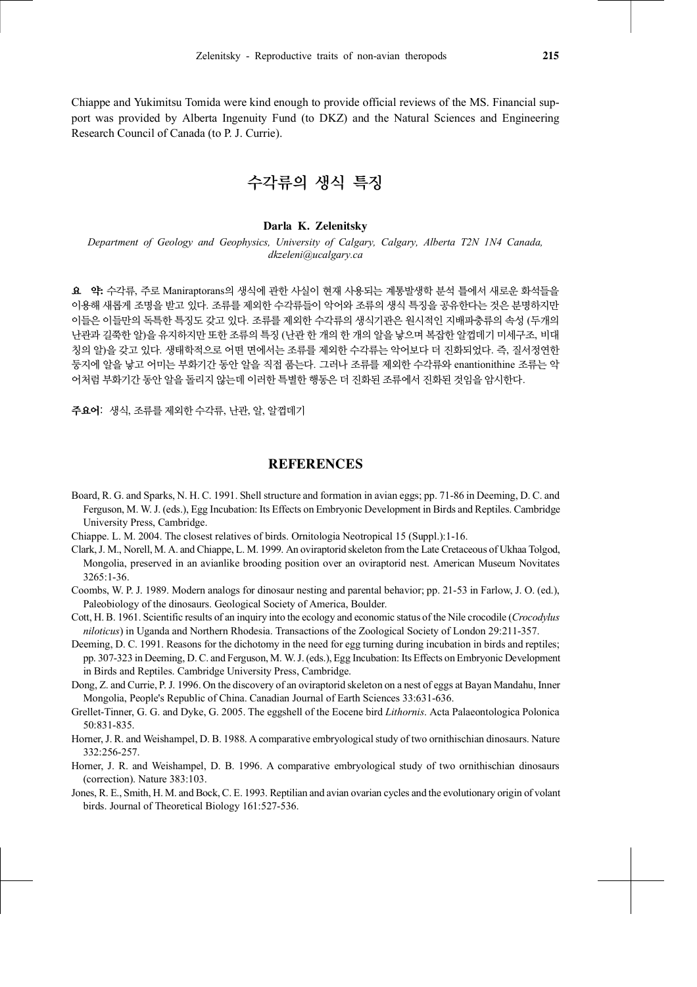Chiappe and Yukimitsu Tomida were kind enough to provide official reviews of the MS. Financial support was provided by Alberta Ingenuity Fund (to DKZ) and the Natural Sciences and Engineering Research Council of Canada (to P. J. Currie).

수각류의 생식 특징

#### **Darla K. Zelenitsky**

*Department of Geology and Geophysics, University of Calgary, Calgary, Alberta T2N 1N4 Canada, dkzeleni@ucalgary.ca*

요 약**:** 수각류, 주로 Maniraptorans의 생식에 관한 사실이 현재 사용되는 계통발생학 분석 틀에서 새로운 화석들을 이용해 새롭게 조명을 받고 있다. 조류를 제외한 수각류들이 악어와 조류의 생식 특징을 공유한다는 것은 분명하지만 이들은 이들만의 독특한 특징도 갖고 있다. 조류를 제외한 수각류의 생식기관은 원시적인 지배파충류의 속성 (두개의 난관과 길쭉한 알)을 유지하지만 또한 조류의 특징 (난관 한 개의 한 개의 알을 낳으며 복잡한 알껍데기 미세구조, 비대 칭의 알)을 갖고 있다. 생태학적으로 어떤 면에서는 조류를 제외한 수각류는 악어보다 더 진화되었다. 즉, 질서정연한 둥지에 알을 낳고 어미는 부화기간 동안 알을 직접 품는다. 그러나 조류를 제외한 수각류와 enantionithine 조류는 악 어처럼 부화기간 동안 알을 돌리지 않는데 이러한 특별한 행동은 더 진화된 조류에서 진화된 것임을 암시한다.

주요어: 생식, 조류를 제외한 수각류, 난관, 알, 알껍데기

# **REFERENCES**

- Board, R. G. and Sparks, N. H. C. 1991. Shell structure and formation in avian eggs; pp. 71-86 in Deeming, D. C. and Ferguson, M. W. J. (eds.), Egg Incubation: Its Effects on Embryonic Development in Birds and Reptiles. Cambridge University Press, Cambridge.
- Chiappe. L. M. 2004. The closest relatives of birds. Ornitologia Neotropical 15 (Suppl.):1-16.
- Clark, J. M., Norell, M. A. and Chiappe, L. M. 1999. An oviraptorid skeleton from the Late Cretaceous of Ukhaa Tolgod, Mongolia, preserved in an avianlike brooding position over an oviraptorid nest. American Museum Novitates 3265:1-36.
- Coombs, W. P. J. 1989. Modern analogs for dinosaur nesting and parental behavior; pp. 21-53 in Farlow, J. O. (ed.), Paleobiology of the dinosaurs. Geological Society of America, Boulder.
- Cott, H. B. 1961. Scientific results of an inquiry into the ecology and economic status of the Nile crocodile (*Crocodylus niloticus*) in Uganda and Northern Rhodesia. Transactions of the Zoological Society of London 29:211-357.
- Deeming, D. C. 1991. Reasons for the dichotomy in the need for egg turning during incubation in birds and reptiles; pp. 307-323 in Deeming, D. C. and Ferguson, M. W. J. (eds.), Egg Incubation: Its Effects on Embryonic Development in Birds and Reptiles. Cambridge University Press, Cambridge.
- Dong, Z. and Currie, P. J. 1996. On the discovery of an oviraptorid skeleton on a nest of eggs at Bayan Mandahu, Inner Mongolia, People's Republic of China. Canadian Journal of Earth Sciences 33:631-636.
- Grellet-Tinner, G. G. and Dyke, G. 2005. The eggshell of the Eocene bird *Lithornis*. Acta Palaeontologica Polonica 50:831-835.
- Horner, J. R. and Weishampel, D. B. 1988. A comparative embryological study of two ornithischian dinosaurs. Nature 332:256-257.
- Horner, J. R. and Weishampel, D. B. 1996. A comparative embryological study of two ornithischian dinosaurs (correction). Nature 383:103.
- Jones, R. E., Smith, H. M. and Bock, C. E. 1993. Reptilian and avian ovarian cycles and the evolutionary origin of volant birds. Journal of Theoretical Biology 161:527-536.